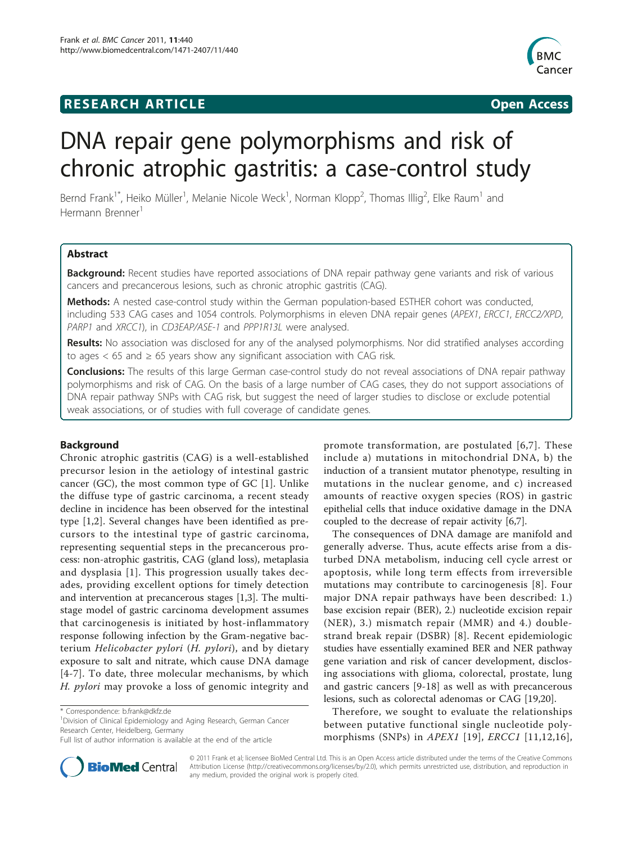## **RESEARCH ARTICLE Example 2018 12:30 THE Open Access**



# DNA repair gene polymorphisms and risk of chronic atrophic gastritis: a case-control study

Bernd Frank<sup>1\*</sup>, Heiko Müller<sup>1</sup>, Melanie Nicole Weck<sup>1</sup>, Norman Klopp<sup>2</sup>, Thomas Illig<sup>2</sup>, Elke Raum<sup>1</sup> and Hermann Brenner<sup>1</sup>

## Abstract

Background: Recent studies have reported associations of DNA repair pathway gene variants and risk of various cancers and precancerous lesions, such as chronic atrophic gastritis (CAG).

Methods: A nested case-control study within the German population-based ESTHER cohort was conducted, including 533 CAG cases and 1054 controls. Polymorphisms in eleven DNA repair genes (APEX1, ERCC1, ERCC2/XPD, PARP1 and XRCC1), in CD3EAP/ASE-1 and PPP1R13L were analysed.

Results: No association was disclosed for any of the analysed polymorphisms. Nor did stratified analyses according to ages  $<$  65 and  $\geq$  65 years show any significant association with CAG risk.

Conclusions: The results of this large German case-control study do not reveal associations of DNA repair pathway polymorphisms and risk of CAG. On the basis of a large number of CAG cases, they do not support associations of DNA repair pathway SNPs with CAG risk, but suggest the need of larger studies to disclose or exclude potential weak associations, or of studies with full coverage of candidate genes.

## Background

Chronic atrophic gastritis (CAG) is a well-established precursor lesion in the aetiology of intestinal gastric cancer (GC), the most common type of GC [[1\]](#page-2-0). Unlike the diffuse type of gastric carcinoma, a recent steady decline in incidence has been observed for the intestinal type [\[1,2](#page-2-0)]. Several changes have been identified as precursors to the intestinal type of gastric carcinoma, representing sequential steps in the precancerous process: non-atrophic gastritis, CAG (gland loss), metaplasia and dysplasia [[1\]](#page-2-0). This progression usually takes decades, providing excellent options for timely detection and intervention at precancerous stages [[1,3\]](#page-2-0). The multistage model of gastric carcinoma development assumes that carcinogenesis is initiated by host-inflammatory response following infection by the Gram-negative bacterium Helicobacter pylori (H. pylori), and by dietary exposure to salt and nitrate, which cause DNA damage [[4](#page-2-0)-[7](#page-2-0)]. To date, three molecular mechanisms, by which H. pylori may provoke a loss of genomic integrity and

<sup>1</sup> Division of Clinical Epidemiology and Aging Research, German Cancer Research Center, Heidelberg, Germany



The consequences of DNA damage are manifold and generally adverse. Thus, acute effects arise from a disturbed DNA metabolism, inducing cell cycle arrest or apoptosis, while long term effects from irreversible mutations may contribute to carcinogenesis [[8](#page-2-0)]. Four major DNA repair pathways have been described: 1.) base excision repair (BER), 2.) nucleotide excision repair (NER), 3.) mismatch repair (MMR) and 4.) doublestrand break repair (DSBR) [[8](#page-2-0)]. Recent epidemiologic studies have essentially examined BER and NER pathway gene variation and risk of cancer development, disclosing associations with glioma, colorectal, prostate, lung and gastric cancers [\[9](#page-2-0)-[18\]](#page-3-0) as well as with precancerous lesions, such as colorectal adenomas or CAG [[19,20](#page-3-0)].

Therefore, we sought to evaluate the relationships between putative functional single nucleotide polymorphisms (SNPs) in *APEX1* [\[19\]](#page-3-0), *ERCC1* [[11](#page-3-0),[12](#page-3-0),[16\]](#page-3-0),



© 2011 Frank et al; licensee BioMed Central Ltd. This is an Open Access article distributed under the terms of the Creative Commons Attribution License [\(http://creativecommons.org/licenses/by/2.0](http://creativecommons.org/licenses/by/2.0)), which permits unrestricted use, distribution, and reproduction in any medium, provided the original work is properly cited.

<sup>\*</sup> Correspondence: [b.frank@dkfz.de](mailto:b.frank@dkfz.de)

Full list of author information is available at the end of the article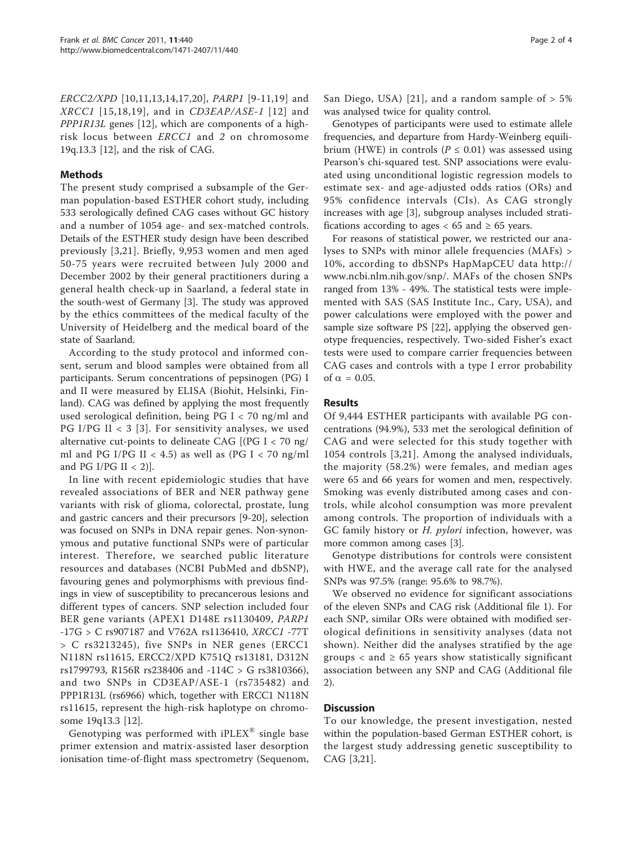ERCC2/XPD [\[10,](#page-2-0)[11](#page-3-0),[13,14,17](#page-3-0),[20\]](#page-3-0), PARP1 [\[9-](#page-2-0)[11,19](#page-3-0)] and  $XRCCI$  [[15,18,19](#page-3-0)], and in  $CD3EAP/ASE-1$  [[12\]](#page-3-0) and PPP1R13L genes [[12](#page-3-0)], which are components of a highrisk locus between ERCC1 and 2 on chromosome 19q.13.3 [[12\]](#page-3-0), and the risk of CAG.

## Methods

The present study comprised a subsample of the German population-based ESTHER cohort study, including 533 serologically defined CAG cases without GC history and a number of 1054 age- and sex-matched controls. Details of the ESTHER study design have been described previously [\[3,](#page-2-0)[21](#page-3-0)]. Briefly, 9,953 women and men aged 50-75 years were recruited between July 2000 and December 2002 by their general practitioners during a general health check-up in Saarland, a federal state in the south-west of Germany [\[3](#page-2-0)]. The study was approved by the ethics committees of the medical faculty of the University of Heidelberg and the medical board of the state of Saarland.

According to the study protocol and informed consent, serum and blood samples were obtained from all participants. Serum concentrations of pepsinogen (PG) I and II were measured by ELISA (Biohit, Helsinki, Finland). CAG was defined by applying the most frequently used serological definition, being PG I < 70 ng/ml and PG I/PG II  $<$  3 [[3\]](#page-2-0). For sensitivity analyses, we used alternative cut-points to delineate CAG [(PG I < 70 ng/ ml and PG I/PG II < 4.5) as well as (PG I < 70 ng/ml and PG I/PG II  $<$  2)].

In line with recent epidemiologic studies that have revealed associations of BER and NER pathway gene variants with risk of glioma, colorectal, prostate, lung and gastric cancers and their precursors [\[9](#page-2-0)-[20](#page-3-0)], selection was focused on SNPs in DNA repair genes. Non-synonymous and putative functional SNPs were of particular interest. Therefore, we searched public literature resources and databases (NCBI PubMed and dbSNP), favouring genes and polymorphisms with previous findings in view of susceptibility to precancerous lesions and different types of cancers. SNP selection included four BER gene variants (APEX1 D148E rs1130409, PARP1 -17G > C rs907187 and V762A rs1136410, XRCC1 -77T > C rs3213245), five SNPs in NER genes (ERCC1 N118N rs11615, ERCC2/XPD K751Q rs13181, D312N rs1799793, R156R rs238406 and -114C > G rs3810366), and two SNPs in CD3EAP/ASE-1 (rs735482) and PPP1R13L (rs6966) which, together with ERCC1 N118N rs11615, represent the high-risk haplotype on chromosome 19q13.3 [\[12](#page-3-0)].

Genotyping was performed with  $\mathrm{iPLEX}^{\circledast}$  single base primer extension and matrix-assisted laser desorption ionisation time-of-flight mass spectrometry (Sequenom, San Diego, USA) [[21](#page-3-0)], and a random sample of  $> 5\%$ was analysed twice for quality control.

Genotypes of participants were used to estimate allele frequencies, and departure from Hardy-Weinberg equilibrium (HWE) in controls ( $P \le 0.01$ ) was assessed using Pearson's chi-squared test. SNP associations were evaluated using unconditional logistic regression models to estimate sex- and age-adjusted odds ratios (ORs) and 95% confidence intervals (CIs). As CAG strongly increases with age [\[3](#page-2-0)], subgroup analyses included stratifications according to ages  $< 65$  and  $\geq 65$  years.

For reasons of statistical power, we restricted our analyses to SNPs with minor allele frequencies (MAFs) > 10%, according to dbSNPs HapMapCEU data [http://](http://www.ncbi.nlm.nih.gov/snp/) [www.ncbi.nlm.nih.gov/snp/](http://www.ncbi.nlm.nih.gov/snp/). MAFs of the chosen SNPs ranged from 13% - 49%. The statistical tests were implemented with SAS (SAS Institute Inc., Cary, USA), and power calculations were employed with the power and sample size software PS [\[22\]](#page-3-0), applying the observed genotype frequencies, respectively. Two-sided Fisher's exact tests were used to compare carrier frequencies between CAG cases and controls with a type I error probability of  $\alpha = 0.05$ .

## Results

Of 9,444 ESTHER participants with available PG concentrations (94.9%), 533 met the serological definition of CAG and were selected for this study together with 1054 controls [[3,](#page-2-0)[21\]](#page-3-0). Among the analysed individuals, the majority (58.2%) were females, and median ages were 65 and 66 years for women and men, respectively. Smoking was evenly distributed among cases and controls, while alcohol consumption was more prevalent among controls. The proportion of individuals with a GC family history or *H. pylori* infection, however, was more common among cases [[3\]](#page-2-0).

Genotype distributions for controls were consistent with HWE, and the average call rate for the analysed SNPs was 97.5% (range: 95.6% to 98.7%).

We observed no evidence for significant associations of the eleven SNPs and CAG risk (Additional file [1](#page-2-0)). For each SNP, similar ORs were obtained with modified serological definitions in sensitivity analyses (data not shown). Neither did the analyses stratified by the age groups  $\langle$  and  $\geq$  65 years show statistically significant association between any SNP and CAG (Additional file [2\)](#page-2-0).

## **Discussion**

To our knowledge, the present investigation, nested within the population-based German ESTHER cohort, is the largest study addressing genetic susceptibility to CAG [[3,](#page-2-0)[21\]](#page-3-0).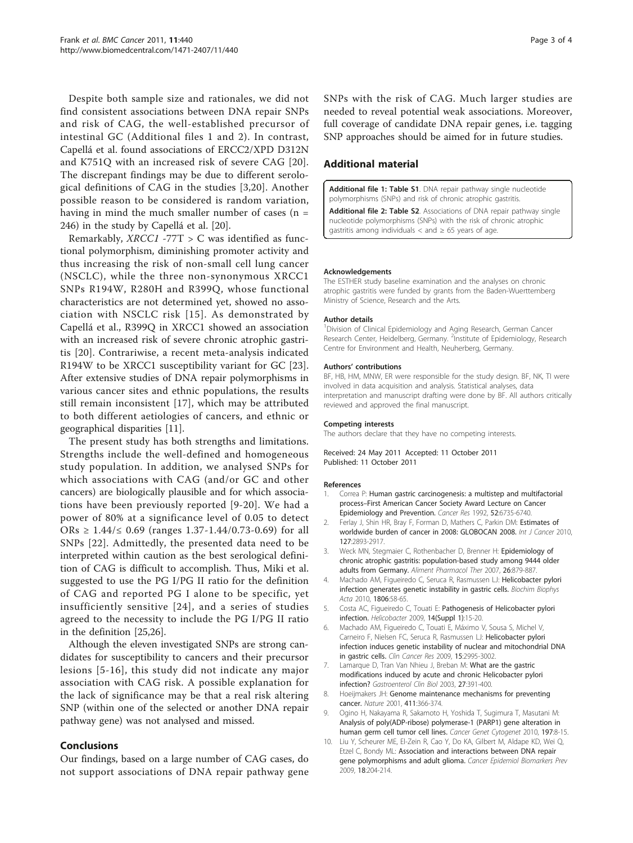<span id="page-2-0"></span>Despite both sample size and rationales, we did not find consistent associations between DNA repair SNPs and risk of CAG, the well-established precursor of intestinal GC (Additional files 1 and 2). In contrast, Capellá et al. found associations of ERCC2/XPD D312N and K751Q with an increased risk of severe CAG [[20](#page-3-0)]. The discrepant findings may be due to different serological definitions of CAG in the studies [3[,20\]](#page-3-0). Another possible reason to be considered is random variation, having in mind the much smaller number of cases  $(n =$ 246) in the study by Capellá et al. [\[20\]](#page-3-0).

Remarkably,  $XRCC1 - 77T > C$  was identified as functional polymorphism, diminishing promoter activity and thus increasing the risk of non-small cell lung cancer (NSCLC), while the three non-synonymous XRCC1 SNPs R194W, R280H and R399Q, whose functional characteristics are not determined yet, showed no association with NSCLC risk [[15\]](#page-3-0). As demonstrated by Capellá et al., R399Q in XRCC1 showed an association with an increased risk of severe chronic atrophic gastritis [[20\]](#page-3-0). Contrariwise, a recent meta-analysis indicated R194W to be XRCC1 susceptibility variant for GC [\[23](#page-3-0)]. After extensive studies of DNA repair polymorphisms in various cancer sites and ethnic populations, the results still remain inconsistent [[17\]](#page-3-0), which may be attributed to both different aetiologies of cancers, and ethnic or geographical disparities [[11](#page-3-0)].

The present study has both strengths and limitations. Strengths include the well-defined and homogeneous study population. In addition, we analysed SNPs for which associations with CAG (and/or GC and other cancers) are biologically plausible and for which associations have been previously reported [9-[20](#page-3-0)]. We had a power of 80% at a significance level of 0.05 to detect ORs ≥ 1.44/ $\leq$  0.69 (ranges 1.37-1.44/0.73-0.69) for all SNPs [\[22\]](#page-3-0). Admittedly, the presented data need to be interpreted within caution as the best serological definition of CAG is difficult to accomplish. Thus, Miki et al. suggested to use the PG I/PG II ratio for the definition of CAG and reported PG I alone to be specific, yet insufficiently sensitive [[24\]](#page-3-0), and a series of studies agreed to the necessity to include the PG I/PG II ratio in the definition [\[25,26](#page-3-0)].

Although the eleven investigated SNPs are strong candidates for susceptibility to cancers and their precursor lesions [5-[16\]](#page-3-0), this study did not indicate any major association with CAG risk. A possible explanation for the lack of significance may be that a real risk altering SNP (within one of the selected or another DNA repair pathway gene) was not analysed and missed.

## Conclusions

Our findings, based on a large number of CAG cases, do not support associations of DNA repair pathway gene SNPs with the risk of CAG. Much larger studies are needed to reveal potential weak associations. Moreover, full coverage of candidate DNA repair genes, i.e. tagging SNP approaches should be aimed for in future studies.

## Additional material

[Additional file 1: T](http://www.biomedcentral.com/content/supplementary/1471-2407-11-440-S1.DOC)able S1. DNA repair pathway single nucleotide polymorphisms (SNPs) and risk of chronic atrophic gastritis.

[Additional file 2: T](http://www.biomedcentral.com/content/supplementary/1471-2407-11-440-S2.DOC)able S2. Associations of DNA repair pathway single nucleotide polymorphisms (SNPs) with the risk of chronic atrophic qastritis among individuals < and  $\geq 65$  years of age.

#### Acknowledgements

The ESTHER study baseline examination and the analyses on chronic atrophic gastritis were funded by grants from the Baden-Wuerttemberg Ministry of Science, Research and the Arts.

#### Author details

<sup>1</sup> Division of Clinical Epidemiology and Aging Research, German Cancer Research Center, Heidelberg, Germany. <sup>2</sup>Institute of Epidemiology, Research Centre for Environment and Health, Neuherberg, Germany.

#### Authors' contributions

BF, HB, HM, MNW, ER were responsible for the study design. BF, NK, TI were involved in data acquisition and analysis. Statistical analyses, data interpretation and manuscript drafting were done by BF. All authors critically reviewed and approved the final manuscript.

#### Competing interests

The authors declare that they have no competing interests.

Received: 24 May 2011 Accepted: 11 October 2011 Published: 11 October 2011

#### References

- Correa P: [Human gastric carcinogenesis: a multistep and multifactorial](http://www.ncbi.nlm.nih.gov/pubmed/1458460?dopt=Abstract) process–[First American Cancer Society Award Lecture on Cancer](http://www.ncbi.nlm.nih.gov/pubmed/1458460?dopt=Abstract) [Epidemiology and Prevention.](http://www.ncbi.nlm.nih.gov/pubmed/1458460?dopt=Abstract) Cancer Res 1992, 52:6735-6740.
- 2. Ferlay J, Shin HR, Bray F, Forman D, Mathers C, Parkin DM: [Estimates of](http://www.ncbi.nlm.nih.gov/pubmed/21351269?dopt=Abstract) [worldwide burden of cancer in 2008: GLOBOCAN 2008.](http://www.ncbi.nlm.nih.gov/pubmed/21351269?dopt=Abstract) Int J Cancer 2010, 127:2893-2917.
- 3. Weck MN, Stegmaier C, Rothenbacher D, Brenner H: [Epidemiology of](http://www.ncbi.nlm.nih.gov/pubmed/17767472?dopt=Abstract) [chronic atrophic gastritis: population-based study among 9444 older](http://www.ncbi.nlm.nih.gov/pubmed/17767472?dopt=Abstract) [adults from Germany.](http://www.ncbi.nlm.nih.gov/pubmed/17767472?dopt=Abstract) Aliment Pharmacol Ther 2007, 26:879-887.
- 4. Machado AM, Figueiredo C, Seruca R, Rasmussen LJ: [Helicobacter pylori](http://www.ncbi.nlm.nih.gov/pubmed/20122996?dopt=Abstract) [infection generates genetic instability in gastric cells.](http://www.ncbi.nlm.nih.gov/pubmed/20122996?dopt=Abstract) Biochim Biophys Acta 2010, 1806:58-65.
- 5. Costa AC, Figueiredo C, Touati E: [Pathogenesis of Helicobacter pylori](http://www.ncbi.nlm.nih.gov/pubmed/19712163?dopt=Abstract) [infection.](http://www.ncbi.nlm.nih.gov/pubmed/19712163?dopt=Abstract) Helicobacter 2009, 14(Suppl 1):15-20.
- 6. Machado AM, Figueiredo C, Touati E, Máximo V, Sousa S, Michel V, Carneiro F, Nielsen FC, Seruca R, Rasmussen LJ: [Helicobacter pylori](http://www.ncbi.nlm.nih.gov/pubmed/19383819?dopt=Abstract) [infection induces genetic instability of nuclear and mitochondrial DNA](http://www.ncbi.nlm.nih.gov/pubmed/19383819?dopt=Abstract) [in gastric cells.](http://www.ncbi.nlm.nih.gov/pubmed/19383819?dopt=Abstract) Clin Cancer Res 2009, 15:2995-3002.
- 7. Lamarque D, Tran Van Nhieu J, Breban M: [What are the gastric](http://www.ncbi.nlm.nih.gov/pubmed/12759678?dopt=Abstract) [modifications induced by acute and chronic Helicobacter pylori](http://www.ncbi.nlm.nih.gov/pubmed/12759678?dopt=Abstract) [infection?](http://www.ncbi.nlm.nih.gov/pubmed/12759678?dopt=Abstract) Gastroenterol Clin Biol 2003, 27:391-400.
- 8. Hoeijmakers JH: [Genome maintenance mechanisms for preventing](http://www.ncbi.nlm.nih.gov/pubmed/11357144?dopt=Abstract) [cancer.](http://www.ncbi.nlm.nih.gov/pubmed/11357144?dopt=Abstract) Nature 2001, 411:366-374.
- 9. Ogino H, Nakayama R, Sakamoto H, Yoshida T, Sugimura T, Masutani M: [Analysis of poly\(ADP-ribose\) polymerase-1 \(PARP1\) gene alteration in](http://www.ncbi.nlm.nih.gov/pubmed/20113831?dopt=Abstract) [human germ cell tumor cell lines.](http://www.ncbi.nlm.nih.gov/pubmed/20113831?dopt=Abstract) Cancer Genet Cytogenet 2010, 197:8-15.
- 10. Liu Y, Scheurer ME, El-Zein R, Cao Y, Do KA, Gilbert M, Aldape KD, Wei Q, Etzel C, Bondy ML: [Association and interactions between DNA repair](http://www.ncbi.nlm.nih.gov/pubmed/19124499?dopt=Abstract) [gene polymorphisms and adult glioma.](http://www.ncbi.nlm.nih.gov/pubmed/19124499?dopt=Abstract) Cancer Epidemiol Biomarkers Prev 2009, 18:204-214.